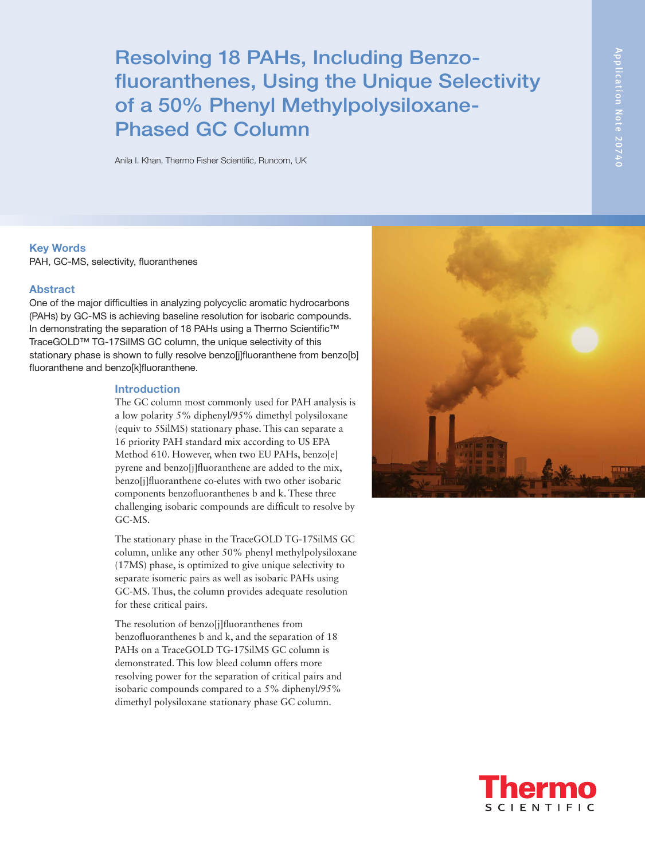# Resolving 18 PAHs, Including Benzofluoranthenes, Using the Unique Selectivity of a 50% Phenyl Methylpolysiloxane-Phased GC Column

Anila I. Khan, Thermo Fisher Scientific, Runcorn, UK

## Key Words

PAH, GC-MS, selectivity, fluoranthenes

## Abstract

One of the major difficulties in analyzing polycyclic aromatic hydrocarbons (PAHs) by GC-MS is achieving baseline resolution for isobaric compounds. In demonstrating the separation of 18 PAHs using a Thermo Scientific™ TraceGOLD™ TG-17SilMS GC column, the unique selectivity of this stationary phase is shown to fully resolve benzo[i]fluoranthene from benzo[b] fluoranthene and benzo[k]fluoranthene.

#### Introduction

The GC column most commonly used for PAH analysis is a low polarity 5% diphenyl/95% dimethyl polysiloxane (equiv to 5SilMS) stationary phase. This can separate a 16 priority PAH standard mix according to US EPA Method 610. However, when two EU PAHs, benzo[e] pyrene and benzo[j]fluoranthene are added to the mix, benzo[j]fluoranthene co-elutes with two other isobaric components benzofluoranthenes b and k. These three challenging isobaric compounds are difficult to resolve by GC-MS.

The stationary phase in the TraceGOLD TG-17SilMS GC column, unlike any other 50% phenyl methylpolysiloxane (17MS) phase, is optimized to give unique selectivity to separate isomeric pairs as well as isobaric PAHs using GC-MS. Thus, the column provides adequate resolution for these critical pairs.

The resolution of benzo[j]fluoranthenes from benzofluoranthenes b and k, and the separation of 18 PAHs on a TraceGOLD TG-17SilMS GC column is demonstrated. This low bleed column offers more resolving power for the separation of critical pairs and isobaric compounds compared to a 5% diphenyl/95% dimethyl polysiloxane stationary phase GC column.



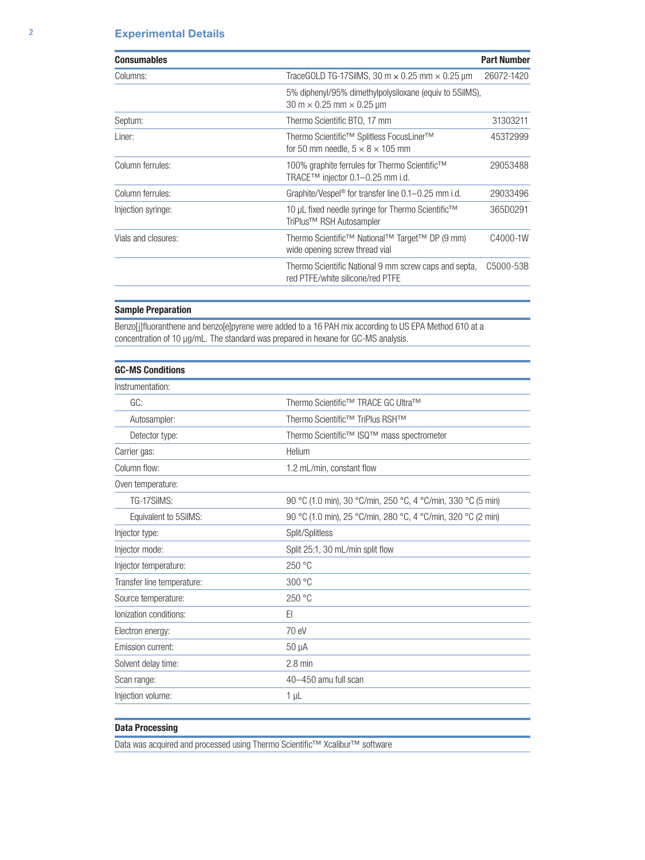| <b>Consumables</b>  |                                                                                                                              | <b>Part Number</b> |
|---------------------|------------------------------------------------------------------------------------------------------------------------------|--------------------|
| Columns:            | TraceGOLD TG-17SilMS, 30 m $\times$ 0.25 mm $\times$ 0.25 µm                                                                 | 26072-1420         |
|                     | 5% diphenyl/95% dimethylpolysiloxane (equiv to 5SilMS),<br>$30 \text{ m} \times 0.25 \text{ mm} \times 0.25 \text{ µm}$      |                    |
| Septum:             | Thermo Scientific BTO, 17 mm<br>31303211                                                                                     |                    |
| Liner:              | Thermo Scientific <sup>™</sup> Splitless FocusLiner <sup>™</sup><br>453T2999<br>for 50 mm needle, $5 \times 8 \times 105$ mm |                    |
| Column ferrules:    | 100% graphite ferrules for Thermo Scientific <sup>™</sup><br>29053488<br>TRACE™ injector 0.1-0.25 mm i.d.                    |                    |
| Column ferrules:    | Graphite/Vespel <sup>®</sup> for transfer line $0.1-0.25$ mm i.d.                                                            | 29033496           |
| Injection syringe:  | 10 µL fixed needle syringe for Thermo Scientific <sup>™</sup><br>365D0291<br>TriPlus <sup>™</sup> RSH Autosampler            |                    |
| Vials and closures: | Thermo Scientific <sup>™</sup> National™ Target™ DP (9 mm)<br>wide opening screw thread vial                                 | C4000-1W           |
|                     | Thermo Scientific National 9 mm screw caps and septa,<br>red PTFE/white silicone/red PTFE                                    | C5000-53B          |

## Sample Preparation

Benzo[j]fluoranthene and benzo[e]pyrene were added to a 16 PAH mix according to US EPA Method 610 at a concentration of 10 µg/mL. The standard was prepared in hexane for GC-MS analysis.

| <b>GC-MS Conditions</b>    |                                                              |
|----------------------------|--------------------------------------------------------------|
| Instrumentation:           |                                                              |
| GC:                        | Thermo Scientific™ TRACE GC Ultra™                           |
| Autosampler:               | Thermo Scientific <sup>™</sup> TriPlus RSH™                  |
| Detector type:             | Thermo Scientific™ ISQ <sup>™</sup> mass spectrometer        |
| Carrier gas:               | Helium                                                       |
| Column flow:               | 1.2 mL/min, constant flow                                    |
| Oven temperature:          |                                                              |
| TG-17SilMS:                | 90 °C (1.0 min), 30 °C/min, 250 °C, 4 °C/min, 330 °C (5 min) |
| Equivalent to 5SilMS:      | 90 °C (1.0 min), 25 °C/min, 280 °C, 4 °C/min, 320 °C (2 min) |
| Injector type:             | Split/Splitless                                              |
| Injector mode:             | Split 25:1, 30 mL/min split flow                             |
| Injector temperature:      | 250 °C                                                       |
| Transfer line temperature: | 300 °C                                                       |
| Source temperature:        | 250 °C                                                       |
| lonization conditions:     | FI                                                           |
| Electron energy:           | 70 eV                                                        |
| Emission current:          | $50 \mu A$                                                   |
| Solvent delay time:        | $2.8$ min                                                    |
| Scan range:                | 40-450 amu full scan                                         |
| Injection volume:          | 1 µL                                                         |
|                            |                                                              |

## Data Processing

Data was acquired and processed using Thermo Scientific™ Xcalibur™ software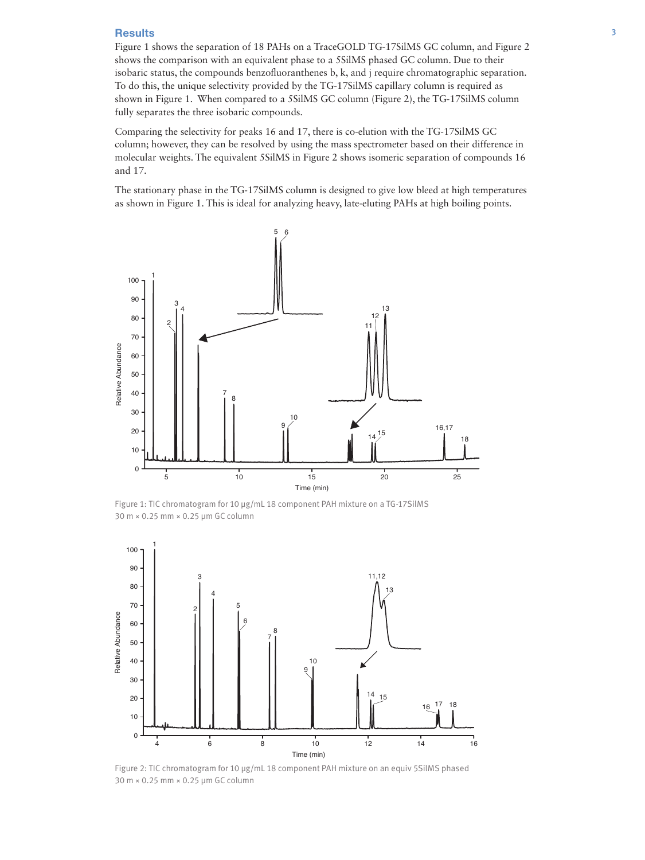#### Results 3

Figure 1 shows the separation of 18 PAHs on a TraceGOLD TG-17SilMS GC column, and Figure 2 shows the comparison with an equivalent phase to a 5SilMS phased GC column. Due to their isobaric status, the compounds benzofluoranthenes b, k, and j require chromatographic separation. To do this, the unique selectivity provided by the TG-17SilMS capillary column is required as shown in Figure 1. When compared to a 5SilMS GC column (Figure 2), the TG-17SilMS column fully separates the three isobaric compounds.

Comparing the selectivity for peaks 16 and 17, there is co-elution with the TG-17SilMS GC column; however, they can be resolved by using the mass spectrometer based on their difference in molecular weights. The equivalent 5SilMS in Figure 2 shows isomeric separation of compounds 16 and 17.

The stationary phase in the TG-17SilMS column is designed to give low bleed at high temperatures as shown in Figure 1. This is ideal for analyzing heavy, late-eluting PAHs at high boiling points.



Figure 1: TIC chromatogram for 10 µg/mL 18 component PAH mixture on a TG-17SilMS



Figure 2: TIC chromatogram for 10 µg/mL 18 component PAH mixture on an equiv 5SilMS phased 30 m × 0.25 mm × 0.25 µm GC column